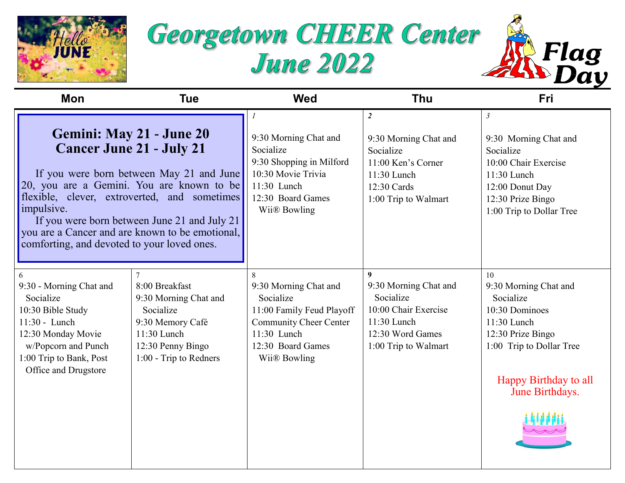





| Mon                                                                                                                                                                                                                                                                                                                                                                  | <b>Tue</b>                                                                                                                                               | <b>Wed</b>                                                                                                                                                | <b>Thu</b>                                                                                                                                | <b>Fri</b>                                                                                                                                                               |
|----------------------------------------------------------------------------------------------------------------------------------------------------------------------------------------------------------------------------------------------------------------------------------------------------------------------------------------------------------------------|----------------------------------------------------------------------------------------------------------------------------------------------------------|-----------------------------------------------------------------------------------------------------------------------------------------------------------|-------------------------------------------------------------------------------------------------------------------------------------------|--------------------------------------------------------------------------------------------------------------------------------------------------------------------------|
| Gemini: May 21 - June 20<br><b>Cancer June 21 - July 21</b><br>If you were born between May 21 and June<br>20, you are a Gemini. You are known to be<br>flexible, clever, extroverted, and sometimes<br>impulsive.<br>If you were born between June 21 and July 21<br>you are a Cancer and are known to be emotional,<br>comforting, and devoted to your loved ones. |                                                                                                                                                          | 9:30 Morning Chat and<br>Socialize<br>9:30 Shopping in Milford<br>10:30 Movie Trivia<br>11:30 Lunch<br>12:30 Board Games<br>Wii® Bowling                  | $\overline{2}$<br>9:30 Morning Chat and<br>Socialize<br>11:00 Ken's Corner<br>11:30 Lunch<br>12:30 Cards<br>1:00 Trip to Walmart          | $\mathfrak{Z}$<br>9:30 Morning Chat and<br>Socialize<br>10:00 Chair Exercise<br>$11:30$ Lunch<br>12:00 Donut Day<br>12:30 Prize Bingo<br>1:00 Trip to Dollar Tree        |
| 9:30 - Morning Chat and<br>Socialize<br>10:30 Bible Study<br>11:30 - Lunch<br>12:30 Monday Movie<br>w/Popcorn and Punch<br>1:00 Trip to Bank, Post<br>Office and Drugstore                                                                                                                                                                                           | $\overline{7}$<br>8:00 Breakfast<br>9:30 Morning Chat and<br>Socialize<br>9:30 Memory Café<br>11:30 Lunch<br>12:30 Penny Bingo<br>1:00 - Trip to Redners | 8<br>9:30 Morning Chat and<br>Socialize<br>11:00 Family Feud Playoff<br><b>Community Cheer Center</b><br>11:30 Lunch<br>12:30 Board Games<br>Wii® Bowling | $\boldsymbol{9}$<br>9:30 Morning Chat and<br>Socialize<br>10:00 Chair Exercise<br>11:30 Lunch<br>12:30 Word Games<br>1:00 Trip to Walmart | 10<br>9:30 Morning Chat and<br>Socialize<br>10:30 Dominoes<br>$11:30$ Lunch<br>12:30 Prize Bingo<br>1:00 Trip to Dollar Tree<br>Happy Birthday to all<br>June Birthdays. |